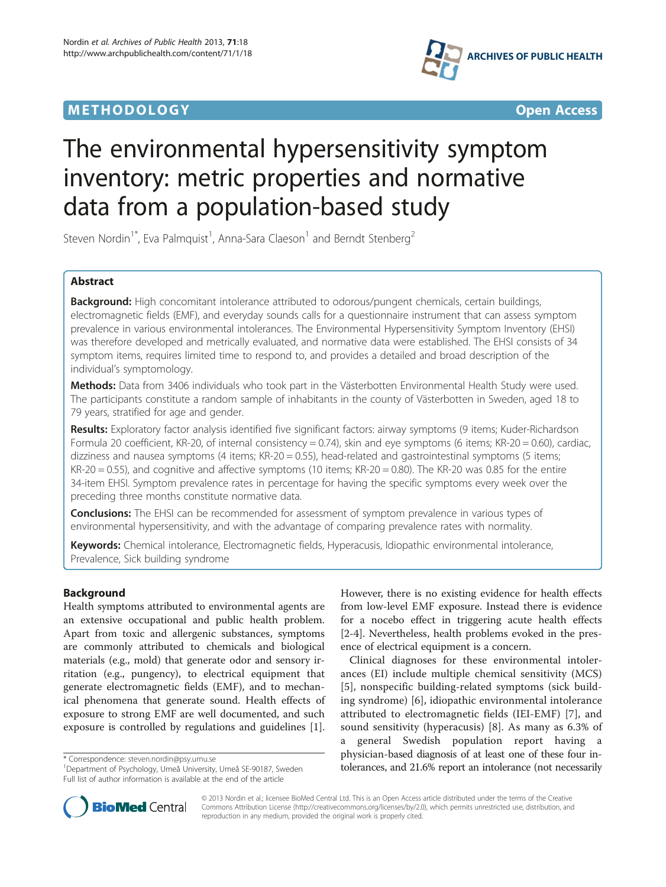# **METHODOLOGY CONSUMING ACCESS**



# The environmental hypersensitivity symptom inventory: metric properties and normative data from a population-based study

Steven Nordin<sup>1\*</sup>, Eva Palmquist<sup>1</sup>, Anna-Sara Claeson<sup>1</sup> and Berndt Stenberg<sup>2</sup>

# Abstract

Background: High concomitant intolerance attributed to odorous/pungent chemicals, certain buildings, electromagnetic fields (EMF), and everyday sounds calls for a questionnaire instrument that can assess symptom prevalence in various environmental intolerances. The Environmental Hypersensitivity Symptom Inventory (EHSI) was therefore developed and metrically evaluated, and normative data were established. The EHSI consists of 34 symptom items, requires limited time to respond to, and provides a detailed and broad description of the individual's symptomology.

Methods: Data from 3406 individuals who took part in the Västerbotten Environmental Health Study were used. The participants constitute a random sample of inhabitants in the county of Västerbotten in Sweden, aged 18 to 79 years, stratified for age and gender.

Results: Exploratory factor analysis identified five significant factors: airway symptoms (9 items; Kuder-Richardson Formula 20 coefficient, KR-20, of internal consistency =  $0.74$ ), skin and eye symptoms (6 items; KR-20 =  $0.60$ ), cardiac, dizziness and nausea symptoms (4 items;  $KR-20 = 0.55$ ), head-related and gastrointestinal symptoms (5 items;  $KR-20 = 0.55$ ), and cognitive and affective symptoms (10 items;  $KR-20 = 0.80$ ). The  $KR-20$  was 0.85 for the entire 34-item EHSI. Symptom prevalence rates in percentage for having the specific symptoms every week over the preceding three months constitute normative data.

**Conclusions:** The EHSI can be recommended for assessment of symptom prevalence in various types of environmental hypersensitivity, and with the advantage of comparing prevalence rates with normality.

Keywords: Chemical intolerance, Electromagnetic fields, Hyperacusis, Idiopathic environmental intolerance, Prevalence, Sick building syndrome

# Background

Health symptoms attributed to environmental agents are an extensive occupational and public health problem. Apart from toxic and allergenic substances, symptoms are commonly attributed to chemicals and biological materials (e.g., mold) that generate odor and sensory irritation (e.g., pungency), to electrical equipment that generate electromagnetic fields (EMF), and to mechanical phenomena that generate sound. Health effects of exposure to strong EMF are well documented, and such exposure is controlled by regulations and guidelines [\[1](#page-8-0)].

However, there is no existing evidence for health effects from low-level EMF exposure. Instead there is evidence for a nocebo effect in triggering acute health effects [[2-4](#page-8-0)]. Nevertheless, health problems evoked in the presence of electrical equipment is a concern.

Clinical diagnoses for these environmental intolerances (EI) include multiple chemical sensitivity (MCS) [[5](#page-8-0)], nonspecific building-related symptoms (sick building syndrome) [[6](#page-8-0)], idiopathic environmental intolerance attributed to electromagnetic fields (IEI-EMF) [[7\]](#page-8-0), and sound sensitivity (hyperacusis) [\[8](#page-8-0)]. As many as 6.3% of a general Swedish population report having a physician-based diagnosis of at least one of these four intorrespondence: [steven.nordin@psy.umu.se](mailto:steven.nordin@psy.umu.se) executions. The set of the set of the set our intervent of Psychology, Umeå University, Umeå SE-90187, Sweden and 21.6% report an intolerance (not necessarily intervent of Psycholog



© 2013 Nordin et al.; licensee BioMed Central Ltd. This is an Open Access article distributed under the terms of the Creative Commons Attribution License [\(http://creativecommons.org/licenses/by/2.0\)](http://creativecommons.org/licenses/by/2.0), which permits unrestricted use, distribution, and reproduction in any medium, provided the original work is properly cited.

Department of Psychology, Umeå University, Umeå SE-90187, Sweden Full list of author information is available at the end of the article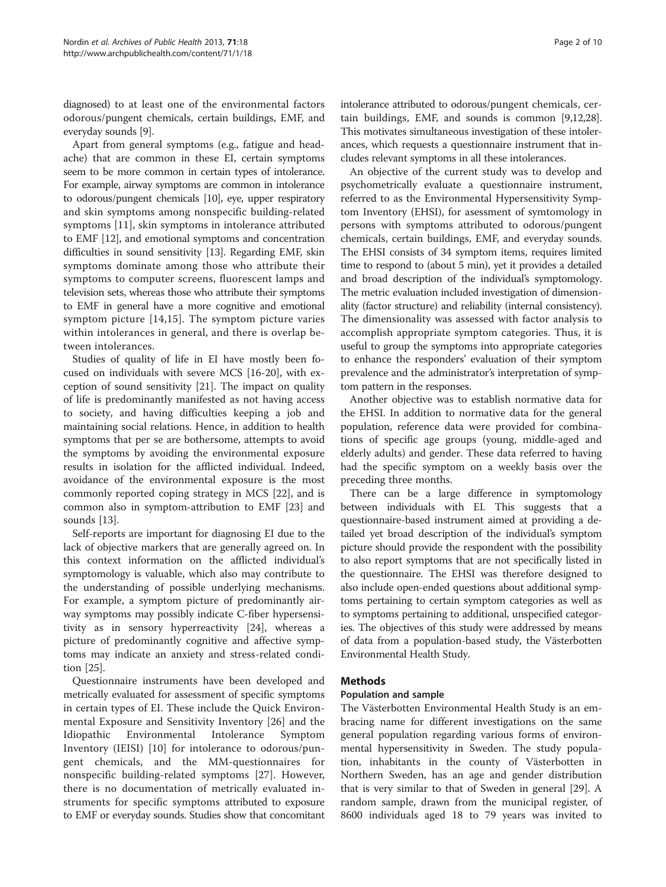diagnosed) to at least one of the environmental factors odorous/pungent chemicals, certain buildings, EMF, and everyday sounds [[9\]](#page-8-0).

Apart from general symptoms (e.g., fatigue and headache) that are common in these EI, certain symptoms seem to be more common in certain types of intolerance. For example, airway symptoms are common in intolerance to odorous/pungent chemicals [\[10](#page-8-0)], eye, upper respiratory and skin symptoms among nonspecific building-related symptoms [\[11](#page-8-0)], skin symptoms in intolerance attributed to EMF [[12](#page-8-0)], and emotional symptoms and concentration difficulties in sound sensitivity [\[13\]](#page-8-0). Regarding EMF, skin symptoms dominate among those who attribute their symptoms to computer screens, fluorescent lamps and television sets, whereas those who attribute their symptoms to EMF in general have a more cognitive and emotional symptom picture [[14,15\]](#page-8-0). The symptom picture varies within intolerances in general, and there is overlap between intolerances.

Studies of quality of life in EI have mostly been focused on individuals with severe MCS [[16-20](#page-8-0)], with exception of sound sensitivity [\[21](#page-8-0)]. The impact on quality of life is predominantly manifested as not having access to society, and having difficulties keeping a job and maintaining social relations. Hence, in addition to health symptoms that per se are bothersome, attempts to avoid the symptoms by avoiding the environmental exposure results in isolation for the afflicted individual. Indeed, avoidance of the environmental exposure is the most commonly reported coping strategy in MCS [[22\]](#page-8-0), and is common also in symptom-attribution to EMF [\[23](#page-8-0)] and sounds [\[13](#page-8-0)].

Self-reports are important for diagnosing EI due to the lack of objective markers that are generally agreed on. In this context information on the afflicted individual's symptomology is valuable, which also may contribute to the understanding of possible underlying mechanisms. For example, a symptom picture of predominantly airway symptoms may possibly indicate C-fiber hypersensitivity as in sensory hyperreactivity [[24](#page-8-0)], whereas a picture of predominantly cognitive and affective symptoms may indicate an anxiety and stress-related condition [\[25\]](#page-8-0).

Questionnaire instruments have been developed and metrically evaluated for assessment of specific symptoms in certain types of EI. These include the Quick Environmental Exposure and Sensitivity Inventory [[26](#page-8-0)] and the Idiopathic Environmental Intolerance Symptom Inventory (IEISI) [[10\]](#page-8-0) for intolerance to odorous/pungent chemicals, and the MM-questionnaires for nonspecific building-related symptoms [\[27](#page-9-0)]. However, there is no documentation of metrically evaluated instruments for specific symptoms attributed to exposure to EMF or everyday sounds. Studies show that concomitant

intolerance attributed to odorous/pungent chemicals, certain buildings, EMF, and sounds is common [\[9,12,](#page-8-0)[28](#page-9-0)]. This motivates simultaneous investigation of these intolerances, which requests a questionnaire instrument that includes relevant symptoms in all these intolerances.

An objective of the current study was to develop and psychometrically evaluate a questionnaire instrument, referred to as the Environmental Hypersensitivity Symptom Inventory (EHSI), for asessment of symtomology in persons with symptoms attributed to odorous/pungent chemicals, certain buildings, EMF, and everyday sounds. The EHSI consists of 34 symptom items, requires limited time to respond to (about 5 min), yet it provides a detailed and broad description of the individual's symptomology. The metric evaluation included investigation of dimensionality (factor structure) and reliability (internal consistency). The dimensionality was assessed with factor analysis to accomplish appropriate symptom categories. Thus, it is useful to group the symptoms into appropriate categories to enhance the responders' evaluation of their symptom prevalence and the administrator's interpretation of symptom pattern in the responses.

Another objective was to establish normative data for the EHSI. In addition to normative data for the general population, reference data were provided for combinations of specific age groups (young, middle-aged and elderly adults) and gender. These data referred to having had the specific symptom on a weekly basis over the preceding three months.

There can be a large difference in symptomology between individuals with EI. This suggests that a questionnaire-based instrument aimed at providing a detailed yet broad description of the individual's symptom picture should provide the respondent with the possibility to also report symptoms that are not specifically listed in the questionnaire. The EHSI was therefore designed to also include open-ended questions about additional symptoms pertaining to certain symptom categories as well as to symptoms pertaining to additional, unspecified categories. The objectives of this study were addressed by means of data from a population-based study, the Västerbotten Environmental Health Study.

## Methods

## Population and sample

The Västerbotten Environmental Health Study is an embracing name for different investigations on the same general population regarding various forms of environmental hypersensitivity in Sweden. The study population, inhabitants in the county of Västerbotten in Northern Sweden, has an age and gender distribution that is very similar to that of Sweden in general [[29\]](#page-9-0). A random sample, drawn from the municipal register, of 8600 individuals aged 18 to 79 years was invited to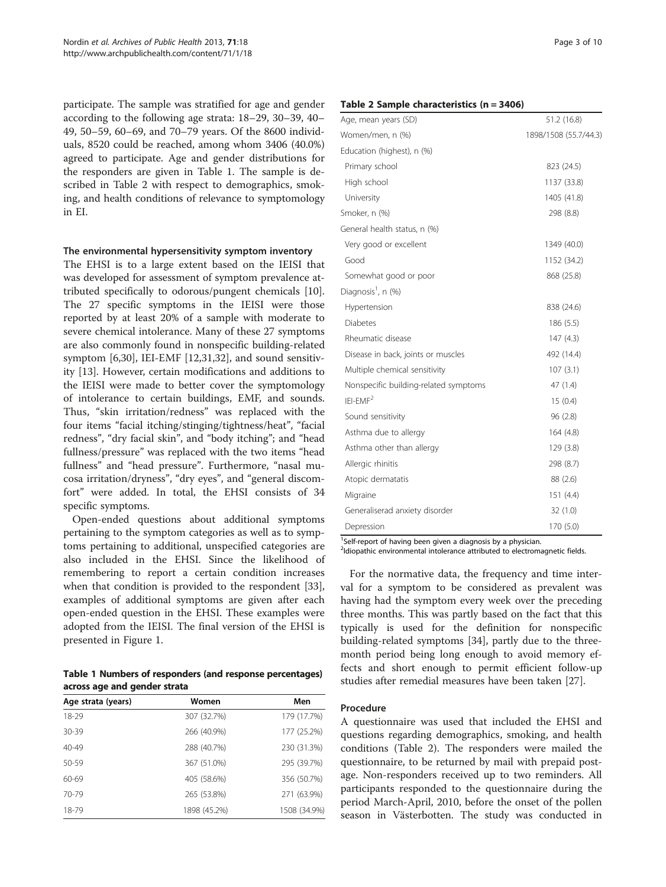<span id="page-2-0"></span>participate. The sample was stratified for age and gender according to the following age strata: 18–29, 30–39, 40– 49, 50–59, 60–69, and 70–79 years. Of the 8600 individuals, 8520 could be reached, among whom 3406 (40.0%) agreed to participate. Age and gender distributions for the responders are given in Table 1. The sample is described in Table 2 with respect to demographics, smoking, and health conditions of relevance to symptomology in EI.

#### The environmental hypersensitivity symptom inventory

The EHSI is to a large extent based on the IEISI that was developed for assessment of symptom prevalence attributed specifically to odorous/pungent chemicals [\[10](#page-8-0)]. The 27 specific symptoms in the IEISI were those reported by at least 20% of a sample with moderate to severe chemical intolerance. Many of these 27 symptoms are also commonly found in nonspecific building-related symptom [\[6](#page-8-0)[,30\]](#page-9-0), IEI-EMF [\[12](#page-8-0)[,31,32](#page-9-0)], and sound sensitivity [\[13](#page-8-0)]. However, certain modifications and additions to the IEISI were made to better cover the symptomology of intolerance to certain buildings, EMF, and sounds. Thus, "skin irritation/redness" was replaced with the four items "facial itching/stinging/tightness/heat", "facial redness", "dry facial skin", and "body itching"; and "head fullness/pressure" was replaced with the two items "head fullness" and "head pressure". Furthermore, "nasal mucosa irritation/dryness", "dry eyes", and "general discomfort" were added. In total, the EHSI consists of 34 specific symptoms.

Open-ended questions about additional symptoms pertaining to the symptom categories as well as to symptoms pertaining to additional, unspecified categories are also included in the EHSI. Since the likelihood of remembering to report a certain condition increases when that condition is provided to the respondent [\[33](#page-9-0)], examples of additional symptoms are given after each open-ended question in the EHSI. These examples were adopted from the IEISI. The final version of the EHSI is presented in Figure [1.](#page-3-0)

Table 1 Numbers of responders (and response percentages) across age and gender strata

| Age strata (years) | Women        | Men          |  |  |  |
|--------------------|--------------|--------------|--|--|--|
| 18-29              | 307 (32.7%)  | 179 (17.7%)  |  |  |  |
| 30-39              | 266 (40.9%)  | 177 (25.2%)  |  |  |  |
| $40 - 49$          | 288 (40.7%)  | 230 (31.3%)  |  |  |  |
| $50 - 59$          | 367 (51.0%)  | 295 (39.7%)  |  |  |  |
| 60-69              | 405 (58.6%)  | 356 (50.7%)  |  |  |  |
| 70-79              | 265 (53.8%)  | 271 (63.9%)  |  |  |  |
| 18-79              | 1898 (45.2%) | 1508 (34.9%) |  |  |  |

#### Table 2 Sample characteristics (n = 3406)

| Age, mean years (SD)                  | 51.2 (16.8)           |
|---------------------------------------|-----------------------|
| Women/men, n (%)                      | 1898/1508 (55.7/44.3) |
| Education (highest), n (%)            |                       |
| Primary school                        | 823 (24.5)            |
| High school                           | 1137 (33.8)           |
| University                            | 1405 (41.8)           |
| Smoker, n (%)                         | 298 (8.8)             |
| General health status, n (%)          |                       |
| Very good or excellent                | 1349 (40.0)           |
| Good                                  | 1152 (34.2)           |
| Somewhat good or poor                 | 868 (25.8)            |
| Diagnosis <sup>1</sup> , n (%)        |                       |
| Hypertension                          | 838 (24.6)            |
| <b>Diabetes</b>                       | 186 (5.5)             |
| Rheumatic disease                     | 147(4.3)              |
| Disease in back, joints or muscles    | 492 (14.4)            |
| Multiple chemical sensitivity         | 107(3.1)              |
| Nonspecific building-related symptoms | 47 (1.4)              |
| $IFI-FMF2$                            | 15(0.4)               |
| Sound sensitivity                     | 96(2.8)               |
| Asthma due to allergy                 | 164(4.8)              |
| Asthma other than allergy             | 129 (3.8)             |
| Allergic rhinitis                     | 298 (8.7)             |
| Atopic dermatatis                     | 88 (2.6)              |
| Migraine                              | 151(4.4)              |
| Generaliserad anxiety disorder        | 32(1.0)               |
| Depression                            | 170 (5.0)             |

<sup>1</sup>Self-report of having been given a diagnosis by a physician.

<sup>2</sup>ldiopathic environmental intolerance attributed to electromagnetic fields.

For the normative data, the frequency and time interval for a symptom to be considered as prevalent was having had the symptom every week over the preceding three months. This was partly based on the fact that this typically is used for the definition for nonspecific building-related symptoms [[34](#page-9-0)], partly due to the threemonth period being long enough to avoid memory effects and short enough to permit efficient follow-up studies after remedial measures have been taken [[27\]](#page-9-0).

## Procedure

A questionnaire was used that included the EHSI and questions regarding demographics, smoking, and health conditions (Table 2). The responders were mailed the questionnaire, to be returned by mail with prepaid postage. Non-responders received up to two reminders. All participants responded to the questionnaire during the period March-April, 2010, before the onset of the pollen season in Västerbotten. The study was conducted in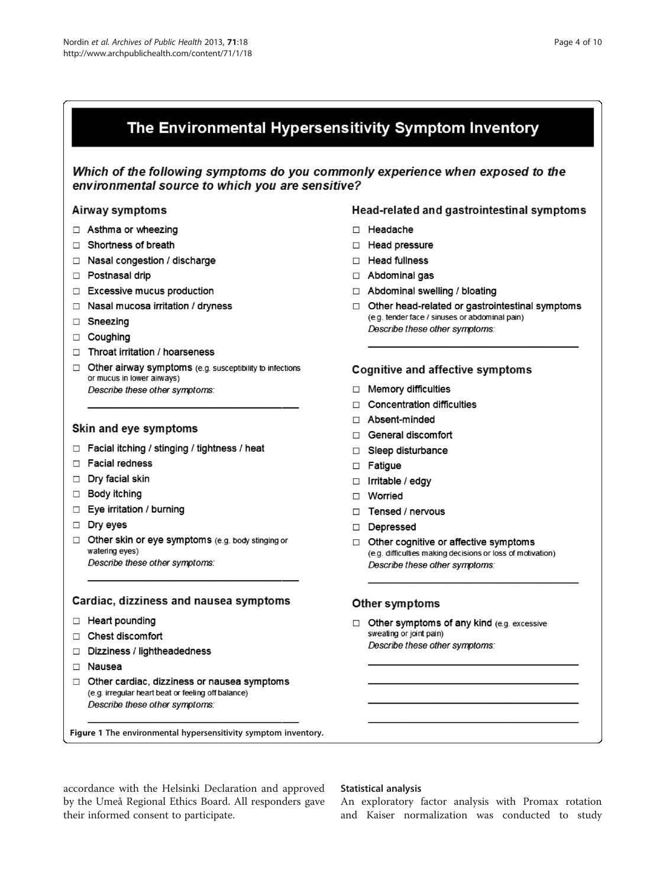# <span id="page-3-0"></span>The Environmental Hypersensitivity Symptom Inventory

Which of the following symptoms do you commonly experience when exposed to the environmental source to which you are sensitive?

# Airway symptoms

- $\Box$  Asthma or wheezing
- □ Shortness of breath
- □ Nasal congestion / discharge
- □ Postnasal drip
- □ Excessive mucus production
- □ Nasal mucosa irritation / dryness
- □ Sneezing
- $\Box$  Coughing
- $\Box$  Throat irritation / hoarseness
- □ Other airway symptoms (e.g. susceptibility to infections or mucus in lower airways) Describe these other symptoms:

## Skin and eye symptoms

- $\Box$  Facial itching / stinging / tightness / heat
- □ Facial redness
- Dry facial skin
- $\Box$  Body itching
- $\Box$  Eye irritation / burning
- $\Box$  Dry eyes
- □ Other skin or eye symptoms (e.g. body stinging or watering eyes) Describe these other symptoms:

## Cardiac, dizziness and nausea symptoms

- $\Box$  Heart pounding
- □ Chest discomfort
- $\Box$  Dizziness / lightheadedness
- $\Box$  Nausea
- □ Other cardiac, dizziness or nausea symptoms (e.g. irregular heart beat or feeling off balance) Describe these other symptoms:

Head-related and gastrointestinal symptoms

- □ Headache
- □ Head pressure
- $\Box$  Head fullness
- □ Abdominal gas
- □ Abdominal swelling / bloating
- $\Box$  Other head-related or gastrointestinal symptoms (e.g. tender face / sinuses or abdominal pain) Describe these other symptoms:

#### **Cognitive and affective symptoms**

- □ Memory difficulties
- □ Concentration difficulties
- □ Absent-minded
- General discomfort
- □ Sleep disturbance
- □ Fatigue
- $\Box$  Irritable / edgy
- $\Box$  Worried
- □ Tensed / nervous
- Depressed
- $\Box$  Other cognitive or affective symptoms (e.g. difficulties making decisions or loss of motivation) Describe these other symptoms:

#### Other symptoms

□ Other symptoms of any kind (e.g. excessive sweating or joint pain) Describe these other symptoms:

Figure 1 The environmental hypersensitivity symptom inventory.

accordance with the Helsinki Declaration and approved by the Umeå Regional Ethics Board. All responders gave their informed consent to participate.

#### Statistical analysis

An exploratory factor analysis with Promax rotation and Kaiser normalization was conducted to study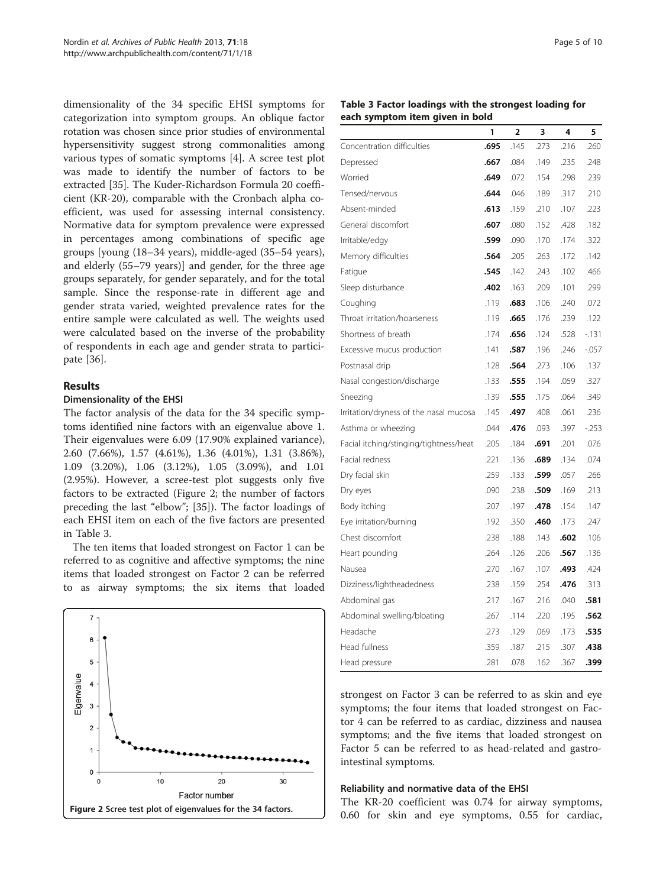dimensionality of the 34 specific EHSI symptoms for categorization into symptom groups. An oblique factor rotation was chosen since prior studies of environmental hypersensitivity suggest strong commonalities among various types of somatic symptoms [[4](#page-8-0)]. A scree test plot was made to identify the number of factors to be extracted [\[35](#page-9-0)]. The Kuder-Richardson Formula 20 coefficient (KR-20), comparable with the Cronbach alpha coefficient, was used for assessing internal consistency. Normative data for symptom prevalence were expressed in percentages among combinations of specific age groups [young (18–34 years), middle-aged (35–54 years), and elderly (55–79 years)] and gender, for the three age groups separately, for gender separately, and for the total sample. Since the response-rate in different age and gender strata varied, weighted prevalence rates for the entire sample were calculated as well. The weights used were calculated based on the inverse of the probability of respondents in each age and gender strata to participate [[36\]](#page-9-0).

#### Results

#### Dimensionality of the EHSI

The factor analysis of the data for the 34 specific symptoms identified nine factors with an eigenvalue above 1. Their eigenvalues were 6.09 (17.90% explained variance), 2.60 (7.66%), 1.57 (4.61%), 1.36 (4.01%), 1.31 (3.86%), 1.09 (3.20%), 1.06 (3.12%), 1.05 (3.09%), and 1.01 (2.95%). However, a scree-test plot suggests only five factors to be extracted (Figure 2; the number of factors preceding the last "elbow"; [\[35](#page-9-0)]). The factor loadings of each EHSI item on each of the five factors are presented in Table 3.

The ten items that loaded strongest on Factor 1 can be referred to as cognitive and affective symptoms; the nine items that loaded strongest on Factor 2 can be referred to as airway symptoms; the six items that loaded



#### Table 3 Factor loadings with the strongest loading for each symptom item given in bold

|                                        | 1    | 2    | 3    | 4    | 5        |
|----------------------------------------|------|------|------|------|----------|
| Concentration difficulties             | .695 | .145 | .273 | .216 | .260     |
| Depressed                              | .667 | .084 | .149 | .235 | .248     |
| Worried                                | .649 | .072 | .154 | .298 | .239     |
| Tensed/nervous                         | .644 | .046 | .189 | .317 | .210     |
| Absent-minded                          | .613 | .159 | .210 | .107 | .223     |
| General discomfort                     | .607 | .080 | .152 | .428 | .182     |
| Irritable/edgy                         | .599 | .090 | .170 | .174 | .322     |
| Memory difficulties                    | .564 | .205 | .263 | .172 | .142     |
| Fatigue                                | .545 | .142 | .243 | .102 | .466     |
| Sleep disturbance                      | .402 | .163 | .209 | .101 | .299     |
| Coughing                               | .119 | .683 | .106 | .240 | .072     |
| Throat irritation/hoarseness           | .119 | .665 | .176 | .239 | .122     |
| Shortness of breath                    | .174 | .656 | .124 | .528 | $-131$   |
| Excessive mucus production             | .141 | .587 | .196 | .246 | $-0.057$ |
| Postnasal drip                         | .128 | .564 | .273 | .106 | .137     |
| Nasal congestion/discharge             | .133 | .555 | .194 | .059 | .327     |
| Sneezing                               | .139 | .555 | .175 | .064 | .349     |
| Irritation/dryness of the nasal mucosa | .145 | .497 | .408 | .061 | .236     |
| Asthma or wheezing                     | .044 | .476 | .093 | .397 | $-253$   |
| Facial itching/stinging/tightness/heat | .205 | .184 | .691 | .201 | .076     |
| Facial redness                         | .221 | .136 | .689 | .134 | .074     |
| Dry facial skin                        | .259 | .133 | .599 | .057 | .266     |
| Dry eyes                               | .090 | .238 | .509 | .169 | .213     |
| Body itching                           | .207 | .197 | .478 | .154 | .147     |
| Eye irritation/burning                 | .192 | .350 | .460 | .173 | .247     |
| Chest discomfort                       | .238 | .188 | .143 | .602 | .106     |
| Heart pounding                         | .264 | .126 | .206 | .567 | .136     |
| Nausea                                 | .270 | .167 | .107 | .493 | .424     |
| Dizziness/lightheadedness              | .238 | .159 | .254 | .476 | .313     |
| Abdominal gas                          | .217 | .167 | .216 | .040 | .581     |
| Abdominal swelling/bloating            | .267 | .114 | .220 | .195 | .562     |
| Headache                               | .273 | .129 | .069 | .173 | .535     |
| Head fullness                          | .359 | .187 | .215 | .307 | .438     |
| Head pressure                          | .281 | .078 | .162 | .367 | .399     |

strongest on Factor 3 can be referred to as skin and eye symptoms; the four items that loaded strongest on Factor 4 can be referred to as cardiac, dizziness and nausea symptoms; and the five items that loaded strongest on Factor 5 can be referred to as head-related and gastrointestinal symptoms.

#### Reliability and normative data of the EHSI

The KR-20 coefficient was 0.74 for airway symptoms,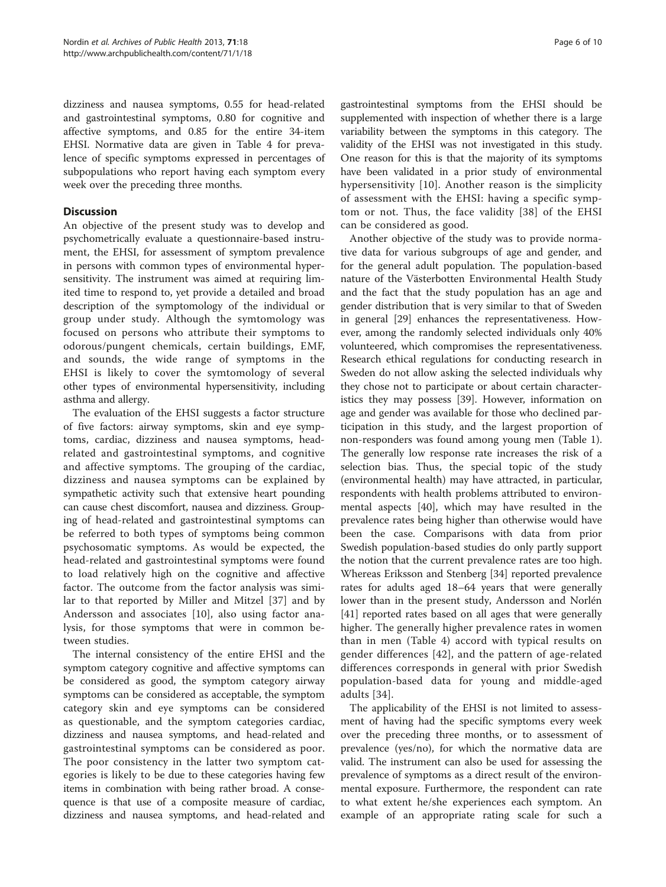dizziness and nausea symptoms, 0.55 for head-related and gastrointestinal symptoms, 0.80 for cognitive and affective symptoms, and 0.85 for the entire 34-item EHSI. Normative data are given in Table [4](#page-6-0) for prevalence of specific symptoms expressed in percentages of subpopulations who report having each symptom every week over the preceding three months.

# **Discussion**

An objective of the present study was to develop and psychometrically evaluate a questionnaire-based instrument, the EHSI, for assessment of symptom prevalence in persons with common types of environmental hypersensitivity. The instrument was aimed at requiring limited time to respond to, yet provide a detailed and broad description of the symptomology of the individual or group under study. Although the symtomology was focused on persons who attribute their symptoms to odorous/pungent chemicals, certain buildings, EMF, and sounds, the wide range of symptoms in the EHSI is likely to cover the symtomology of several other types of environmental hypersensitivity, including asthma and allergy.

The evaluation of the EHSI suggests a factor structure of five factors: airway symptoms, skin and eye symptoms, cardiac, dizziness and nausea symptoms, headrelated and gastrointestinal symptoms, and cognitive and affective symptoms. The grouping of the cardiac, dizziness and nausea symptoms can be explained by sympathetic activity such that extensive heart pounding can cause chest discomfort, nausea and dizziness. Grouping of head-related and gastrointestinal symptoms can be referred to both types of symptoms being common psychosomatic symptoms. As would be expected, the head-related and gastrointestinal symptoms were found to load relatively high on the cognitive and affective factor. The outcome from the factor analysis was similar to that reported by Miller and Mitzel [[37\]](#page-9-0) and by Andersson and associates [[10](#page-8-0)], also using factor analysis, for those symptoms that were in common between studies.

The internal consistency of the entire EHSI and the symptom category cognitive and affective symptoms can be considered as good, the symptom category airway symptoms can be considered as acceptable, the symptom category skin and eye symptoms can be considered as questionable, and the symptom categories cardiac, dizziness and nausea symptoms, and head-related and gastrointestinal symptoms can be considered as poor. The poor consistency in the latter two symptom categories is likely to be due to these categories having few items in combination with being rather broad. A consequence is that use of a composite measure of cardiac, dizziness and nausea symptoms, and head-related and

gastrointestinal symptoms from the EHSI should be supplemented with inspection of whether there is a large variability between the symptoms in this category. The validity of the EHSI was not investigated in this study. One reason for this is that the majority of its symptoms have been validated in a prior study of environmental hypersensitivity [\[10\]](#page-8-0). Another reason is the simplicity of assessment with the EHSI: having a specific symptom or not. Thus, the face validity [[38\]](#page-9-0) of the EHSI can be considered as good.

Another objective of the study was to provide normative data for various subgroups of age and gender, and for the general adult population. The population-based nature of the Västerbotten Environmental Health Study and the fact that the study population has an age and gender distribution that is very similar to that of Sweden in general [\[29](#page-9-0)] enhances the representativeness. However, among the randomly selected individuals only 40% volunteered, which compromises the representativeness. Research ethical regulations for conducting research in Sweden do not allow asking the selected individuals why they chose not to participate or about certain characteristics they may possess [[39\]](#page-9-0). However, information on age and gender was available for those who declined participation in this study, and the largest proportion of non-responders was found among young men (Table [1](#page-2-0)). The generally low response rate increases the risk of a selection bias. Thus, the special topic of the study (environmental health) may have attracted, in particular, respondents with health problems attributed to environmental aspects [[40](#page-9-0)], which may have resulted in the prevalence rates being higher than otherwise would have been the case. Comparisons with data from prior Swedish population-based studies do only partly support the notion that the current prevalence rates are too high. Whereas Eriksson and Stenberg [\[34](#page-9-0)] reported prevalence rates for adults aged 18–64 years that were generally lower than in the present study, Andersson and Norlén [[41\]](#page-9-0) reported rates based on all ages that were generally higher. The generally higher prevalence rates in women than in men (Table [4\)](#page-6-0) accord with typical results on gender differences [[42](#page-9-0)], and the pattern of age-related differences corresponds in general with prior Swedish population-based data for young and middle-aged adults [\[34\]](#page-9-0).

The applicability of the EHSI is not limited to assessment of having had the specific symptoms every week over the preceding three months, or to assessment of prevalence (yes/no), for which the normative data are valid. The instrument can also be used for assessing the prevalence of symptoms as a direct result of the environmental exposure. Furthermore, the respondent can rate to what extent he/she experiences each symptom. An example of an appropriate rating scale for such a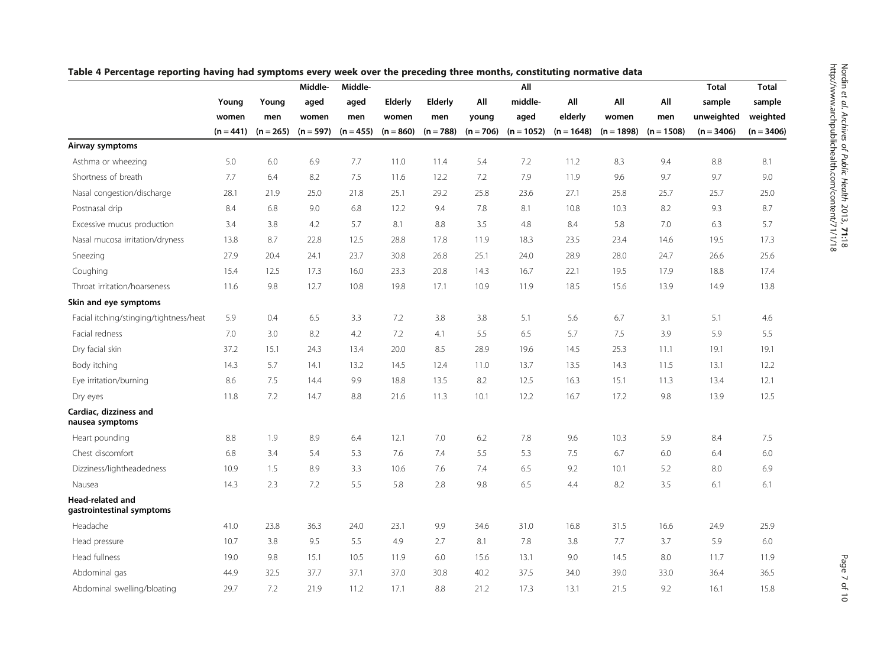|                                               |                |             | Middle-     | Middle-     |             |             |             | All          |              |              |              | <b>Total</b> | <b>Total</b>             |
|-----------------------------------------------|----------------|-------------|-------------|-------------|-------------|-------------|-------------|--------------|--------------|--------------|--------------|--------------|--------------------------|
|                                               | Young<br>Young |             | aged        | aged        | Elderly     | Elderly     | All         | middle-      | All          | All          | All          | sample       | sample                   |
|                                               | women          | men         | women       | men         | women       | men         | young       | aged         | elderly      | women        | men          | unweighted   | weighted<br>$(n = 3406)$ |
|                                               | $(n = 441)$    | $(n = 265)$ | $(n = 597)$ | $(n = 455)$ | $(n = 860)$ | $(n = 788)$ | $(n = 706)$ | $(n = 1052)$ | $(n = 1648)$ | $(n = 1898)$ | $(n = 1508)$ | $(n = 3406)$ |                          |
| Airway symptoms                               |                |             |             |             |             |             |             |              |              |              |              |              |                          |
| Asthma or wheezing                            | 5.0            | 6.0         | 6.9         | 7.7         | 11.0        | 11.4        | 5.4         | 7.2          | 11.2         | 8.3          | 9.4          | 8.8          | 8.1                      |
| Shortness of breath                           | 7.7            | 6.4         | 8.2         | 7.5         | 11.6        | 12.2        | 7.2         | 7.9          | 11.9         | 9.6          | 9.7          | 9.7          | 9.0                      |
| Nasal congestion/discharge                    | 28.1           | 21.9        | 25.0        | 21.8        | 25.1        | 29.2        | 25.8        | 23.6         | 27.1         | 25.8         | 25.7         | 25.7         | 25.0                     |
| Postnasal drip                                | 8.4            | 6.8         | 9.0         | 6.8         | 12.2        | 9.4         | 7.8         | 8.1          | 10.8         | 10.3         | 8.2          | 9.3          | 8.7                      |
| Excessive mucus production                    | 3.4            | 3.8         | 4.2         | 5.7         | 8.1         | 8.8         | 3.5         | 4.8          | 8.4          | 5.8          | 7.0          | 6.3          | 5.7                      |
| Nasal mucosa irritation/dryness               | 13.8           | 8.7         | 22.8        | 12.5        | 28.8        | 17.8        | 11.9        | 18.3         | 23.5         | 23.4         | 14.6         | 19.5         | 17.3                     |
| Sneezing                                      | 27.9           | 20.4        | 24.1        | 23.7        | 30.8        | 26.8        | 25.1        | 24.0         | 28.9         | 28.0         | 24.7         | 26.6         | 25.6                     |
| Coughing                                      | 15.4           | 12.5        | 17.3        | 16.0        | 23.3        | 20.8        | 14.3        | 16.7         | 22.1         | 19.5         | 17.9         | 18.8         | 17.4                     |
| Throat irritation/hoarseness                  | 11.6           | 9.8         | 12.7        | 10.8        | 19.8        | 17.1        | 10.9        | 11.9         | 18.5         | 15.6         | 13.9         | 14.9         | 13.8                     |
| Skin and eye symptoms                         |                |             |             |             |             |             |             |              |              |              |              |              |                          |
| Facial itching/stinging/tightness/heat        | 5.9            | 0.4         | 6.5         | 3.3         | 7.2         | 3.8         | 3.8         | 5.1          | 5.6          | 6.7          | 3.1          | 5.1          | 4.6                      |
| Facial redness                                | 7.0            | 3.0         | 8.2         | 4.2         | 7.2         | 4.1         | 5.5         | 6.5          | 5.7          | 7.5          | 3.9          | 5.9          | 5.5                      |
| Dry facial skin                               | 37.2           | 15.1        | 24.3        | 13.4        | 20.0        | 8.5         | 28.9        | 19.6         | 14.5         | 25.3         | 11.1         | 19.1         | 19.1                     |
| Body itching                                  | 14.3           | 5.7         | 14.1        | 13.2        | 14.5        | 12.4        | 11.0        | 13.7         | 13.5         | 14.3         | 11.5         | 13.1         | 12.2                     |
| Eye irritation/burning                        | 8.6            | 7.5         | 14.4        | 9.9         | 18.8        | 13.5        | 8.2         | 12.5         | 16.3         | 15.1         | 11.3         | 13.4         | 12.1                     |
| Dry eyes                                      | 11.8           | 7.2         | 14.7        | 8.8         | 21.6        | 11.3        | 10.1        | 12.2         | 16.7         | 17.2         | 9.8          | 13.9         | 12.5                     |
| Cardiac, dizziness and<br>nausea symptoms     |                |             |             |             |             |             |             |              |              |              |              |              |                          |
| Heart pounding                                | 8.8            | 1.9         | 8.9         | 6.4         | 12.1        | 7.0         | 6.2         | 7.8          | 9.6          | 10.3         | 5.9          | 8.4          | 7.5                      |
| Chest discomfort                              | 6.8            | 3.4         | 5.4         | 5.3         | 7.6         | 7.4         | 5.5         | 5.3          | 7.5          | 6.7          | 6.0          | 6.4          | 6.0                      |
| Dizziness/lightheadedness                     | 10.9           | 1.5         | 8.9         | 3.3         | 10.6        | 7.6         | 7.4         | 6.5          | 9.2          | 10.1         | 5.2          | 8.0          | 6.9                      |
| Nausea                                        | 14.3           | 2.3         | 7.2         | 5.5         | 5.8         | 2.8         | 9.8         | 6.5          | 4.4          | 8.2          | 3.5          | 6.1          | 6.1                      |
| Head-related and<br>gastrointestinal symptoms |                |             |             |             |             |             |             |              |              |              |              |              |                          |
| Headache                                      | 41.0           | 23.8        | 36.3        | 24.0        | 23.1        | 9.9         | 34.6        | 31.0         | 16.8         | 31.5         | 16.6         | 24.9         | 25.9                     |
| Head pressure                                 | 10.7           | 3.8         | 9.5         | 5.5         | 4.9         | 2.7         | 8.1         | 7.8          | 3.8          | 7.7          | 3.7          | 5.9          | 6.0                      |
| Head fullness                                 | 19.0           | 9.8         | 15.1        | 10.5        | 11.9        | 6.0         | 15.6        | 13.1         | 9.0          | 14.5         | 8.0          | 11.7         | 11.9                     |
| Abdominal gas                                 | 44.9           | 32.5        | 37.7        | 37.1        | 37.0        | 30.8        | 40.2        | 37.5         | 34.0         | 39.0         | 33.0         | 36.4         | 36.5                     |
| Abdominal swelling/bloating                   | 29.7           | 7.2         | 21.9        | 11.2        | 17.1        | 8.8         | 21.2        | 17.3         | 13.1         | 21.5         | 9.2          | 16.1         | 15.8                     |
|                                               |                |             |             |             |             |             |             |              |              |              |              |              |                          |

<span id="page-6-0"></span>Table 4 Percentage reporting having had symptoms every week over the preceding three months, constituting normative data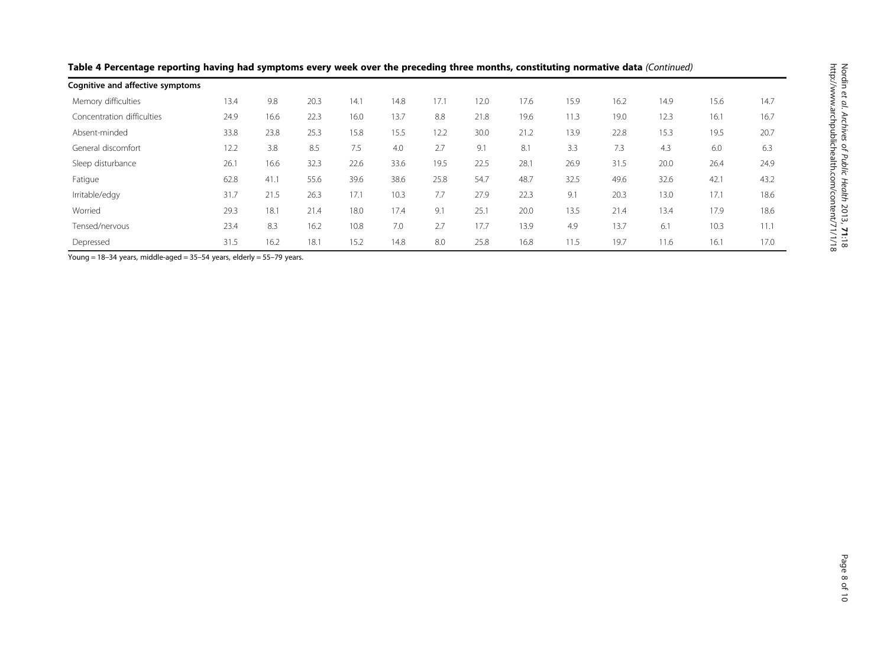| Table 4 Percentage reporting having had symptoms every week over the preceding three months, constituting normative data (Continued) |  |  |
|--------------------------------------------------------------------------------------------------------------------------------------|--|--|
|--------------------------------------------------------------------------------------------------------------------------------------|--|--|

| Cognitive and affective symptoms |      |      |      |      |      |      |      |      |      |      |      |      |      |
|----------------------------------|------|------|------|------|------|------|------|------|------|------|------|------|------|
| Memory difficulties              | 13.4 | 9.8  | 20.3 | 14.1 | 14.8 | 17.1 | 12.0 | 17.6 | 15.9 | 16.2 | 14.9 | 15.6 | 14.7 |
| Concentration difficulties       | 24.9 | 16.6 | 22.3 | 16.0 | 13.7 | 8.8  | 21.8 | 19.6 | 11.3 | 19.0 | 12.3 | 16.1 | 16.7 |
| Absent-minded                    | 33.8 | 23.8 | 25.3 | 15.8 | 15.5 | 12.2 | 30.0 | 21.2 | 13.9 | 22.8 | 15.3 | 19.5 | 20.7 |
| General discomfort               | 12.2 | 3.8  | 8.5  | 7.5  | 4.0  | 2.7  | 9.1  | 8.1  | 3.3  | 7.3  | 4.3  | 6.0  | 6.3  |
| Sleep disturbance                | 26.1 | 16.6 | 32.3 | 22.6 | 33.6 | 19.5 | 22.5 | 28.1 | 26.9 | 31.5 | 20.0 | 26.4 | 24.9 |
| Fatigue                          | 62.8 | 41.1 | 55.6 | 39.6 | 38.6 | 25.8 | 54.7 | 48.7 | 32.5 | 49.6 | 32.6 | 42.1 | 43.2 |
| Irritable/edgy                   | 31.7 | 21.5 | 26.3 | 17.1 | 10.3 | 7.7  | 27.9 | 22.3 | 9.1  | 20.3 | 13.0 | 17.1 | 18.6 |
| Worried                          | 29.3 | 18.1 | 21.4 | 18.0 | 17.4 | 9.1  | 25.1 | 20.0 | 13.5 | 21.4 | 13.4 | 17.9 | 18.6 |
| Tensed/nervous                   | 23.4 | 8.3  | 16.2 | 10.8 | 7.0  | 2.7  | 17.7 | 13.9 | 4.9  | 13.7 | 6.1  | 10.3 | 11.1 |
| Depressed                        | 31.5 | 16.2 | 18.1 | 15.2 | 14.8 | 8.0  | 25.8 | 16.8 | 11.5 | 19.7 | 11.6 | 16.1 | 17.0 |

Young = 18–34 years, middle-aged = 35–54 years, elderly = 55–79 years.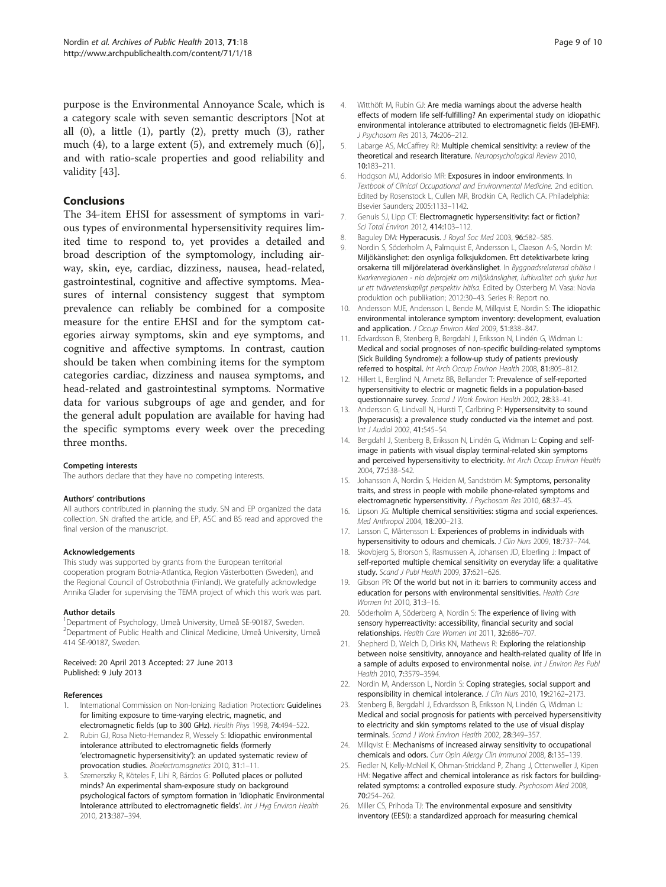<span id="page-8-0"></span>purpose is the Environmental Annoyance Scale, which is a category scale with seven semantic descriptors [Not at all (0), a little (1), partly (2), pretty much (3), rather much (4), to a large extent (5), and extremely much (6)], and with ratio-scale properties and good reliability and validity [\[43\]](#page-9-0).

## Conclusions

The 34-item EHSI for assessment of symptoms in various types of environmental hypersensitivity requires limited time to respond to, yet provides a detailed and broad description of the symptomology, including airway, skin, eye, cardiac, dizziness, nausea, head-related, gastrointestinal, cognitive and affective symptoms. Measures of internal consistency suggest that symptom prevalence can reliably be combined for a composite measure for the entire EHSI and for the symptom categories airway symptoms, skin and eye symptoms, and cognitive and affective symptoms. In contrast, caution should be taken when combining items for the symptom categories cardiac, dizziness and nausea symptoms, and head-related and gastrointestinal symptoms. Normative data for various subgroups of age and gender, and for the general adult population are available for having had the specific symptoms every week over the preceding three months.

#### Competing interests

The authors declare that they have no competing interests.

#### Authors' contributions

All authors contributed in planning the study. SN and EP organized the data collection. SN drafted the article, and EP, ASC and BS read and approved the final version of the manuscript.

#### Acknowledgements

This study was supported by grants from the European territorial cooperation program Botnia-Atlantica, Region Västerbotten (Sweden), and the Regional Council of Ostrobothnia (Finland). We gratefully acknowledge Annika Glader for supervising the TEMA project of which this work was part.

#### Author details

<sup>1</sup>Department of Psychology, Umeå University, Umeå SE-90187, Sweden. 2 Department of Public Health and Clinical Medicine, Umeå University, Umeå 414 SE-90187, Sweden.

#### Received: 20 April 2013 Accepted: 27 June 2013 Published: 9 July 2013

#### References

- International Commission on Non-Ionizing Radiation Protection: Guidelines for limiting exposure to time-varying electric, magnetic, and electromagnetic fields (up to 300 GHz). Health Phys 1998, 74:494–522.
- 2. Rubin GJ, Rosa Nieto-Hernandez R, Wessely S: Idiopathic environmental intolerance attributed to electromagnetic fields (formerly 'electromagnetic hypersensitivity'): an updated systematic review of provocation studies. Bioelectromagnetics 2010, 31:1–11.
- Szemerszky R, Köteles F, Lihi R, Bárdos G: Polluted places or polluted minds? An experimental sham-exposure study on background psychological factors of symptom formation in 'Idiophatic Environmental Intolerance attributed to electromagnetic fields'. Int J Hyg Environ Health 2010, 213:387–394.
- Witthöft M, Rubin GJ: Are media warnings about the adverse health effects of modern life self-fulfilling? An experimental study on idiopathic environmental intolerance attributed to electromagnetic fields (IEI-EMF). J Psychosom Res 2013, 74:206–212.
- 5. Labarge AS, McCaffrey RJ: Multiple chemical sensitivity: a review of the theoretical and research literature. Neuropsychological Review 2010, 10:183–211.
- 6. Hodgson MJ, Addorisio MR: Exposures in indoor environments. In Textbook of Clinical Occupational and Environmental Medicine. 2nd edition. Edited by Rosenstock L, Cullen MR, Brodkin CA, Redlich CA. Philadelphia: Elsevier Saunders; 2005:1133–1142.
- 7. Genuis SJ, Lipp CT: Electromagnetic hypersensitivity: fact or fiction? Sci Total Environ 2012, 414:103–112.
- 8. Baguley DM: Hyperacusis. J Royal Soc Med 2003, 96:582-585.
- 9. Nordin S, Söderholm A, Palmquist E, Andersson L, Claeson A-S, Nordin M: Miljökänslighet: den osynliga folksjukdomen. Ett detektivarbete kring orsakerna till miljörelaterad överkänslighet. In Byggnadsrelaterad ohälsa i Kvarkenregionen - nio delprojekt om miljökänslighet, luftkvalitet och sjuka hus ur ett tvärvetenskapligt perspektiv hälsa. Edited by Osterberg M. Vasa: Novia produktion och publikation; 2012:30–43. Series R: Report no.
- 10. Andersson MJE, Andersson L, Bende M, Millqvist E, Nordin S: The idiopathic environmental intolerance symptom inventory: development, evaluation and application. J Occup Environ Med 2009, 51:838-847.
- 11. Edvardsson B, Stenberg B, Bergdahl J, Eriksson N, Lindén G, Widman L: Medical and social prognoses of non-specific building-related symptoms (Sick Building Syndrome): a follow-up study of patients previously referred to hospital. Int Arch Occup Environ Health 2008, 81:805–812.
- 12. Hillert L, Berglind N, Arnetz BB, Bellander T: Prevalence of self-reported hypersensitivity to electric or magnetic fields in a population-based questionnaire survey. Scand J Work Environ Health 2002, 28:33–41.
- 13. Andersson G, Lindvall N, Hursti T, Carlbring P: Hypersensitvity to sound (hyperacusis): a prevalence study conducted via the internet and post. Int J Audiol 2002, 41:545–54.
- 14. Bergdahl J, Stenberg B, Eriksson N, Lindén G, Widman L: Coping and selfimage in patients with visual display terminal-related skin symptoms and perceived hypersensitivity to electricity. Int Arch Occup Environ Health 2004, 77:538–542.
- 15. Johansson A, Nordin S, Heiden M, Sandström M: Symptoms, personality traits, and stress in people with mobile phone-related symptoms and electromagnetic hypersensitivity. J Psychosom Res 2010, 68:37–45.
- 16. Lipson JG: Multiple chemical sensitivities: stigma and social experiences. Med Anthropol 2004, 18:200–213.
- 17. Larsson C, Mårtensson L: Experiences of problems in individuals with hypersensitivity to odours and chemicals. J Clin Nurs 2009, 18:737–744.
- 18. Skovbjerg S, Brorson S, Rasmussen A, Johansen JD, Elberling J: Impact of self-reported multiple chemical sensitivity on everyday life: a qualitative study. Scand J Publ Health 2009, 37:621–626.
- 19. Gibson PR: Of the world but not in it: barriers to community access and education for persons with environmental sensitivities. Health Care Women Int 2010, 31:3–16.
- 20. Söderholm A, Söderberg A, Nordin S: The experience of livina with sensory hyperreactivity: accessibility, financial security and social relationships. Health Care Women Int 2011, 32:686–707.
- 21. Shepherd D, Welch D, Dirks KN, Mathews R: Exploring the relationship between noise sensitivity, annoyance and health-related quality of life in a sample of adults exposed to environmental noise. Int J Environ Res Publ Health 2010, 7:3579–3594.
- 22. Nordin M, Andersson L, Nordin S: Coping strategies, social support and responsibility in chemical intolerance. J Clin Nurs 2010, 19:2162–2173.
- 23. Stenberg B, Bergdahl J, Edvardsson B, Eriksson N, Lindén G, Widman L: Medical and social prognosis for patients with perceived hypersensitivity to electricity and skin symptoms related to the use of visual display terminals. Scand J Work Environ Health 2002, 28:349-357.
- 24. Millqvist E: Mechanisms of increased airway sensitivity to occupational chemicals and odors. Curr Opin Allergy Clin Immunol 2008, 8:135–139.
- 25. Fiedler N, Kelly-McNeil K, Ohman-Strickland P, Zhang J, Ottenweller J, Kipen HM: Negative affect and chemical intolerance as risk factors for buildingrelated symptoms: a controlled exposure study. Psychosom Med 2008, 70:254–262.
- 26. Miller CS, Prihoda TJ: The environmental exposure and sensitivity inventory (EESI): a standardized approach for measuring chemical